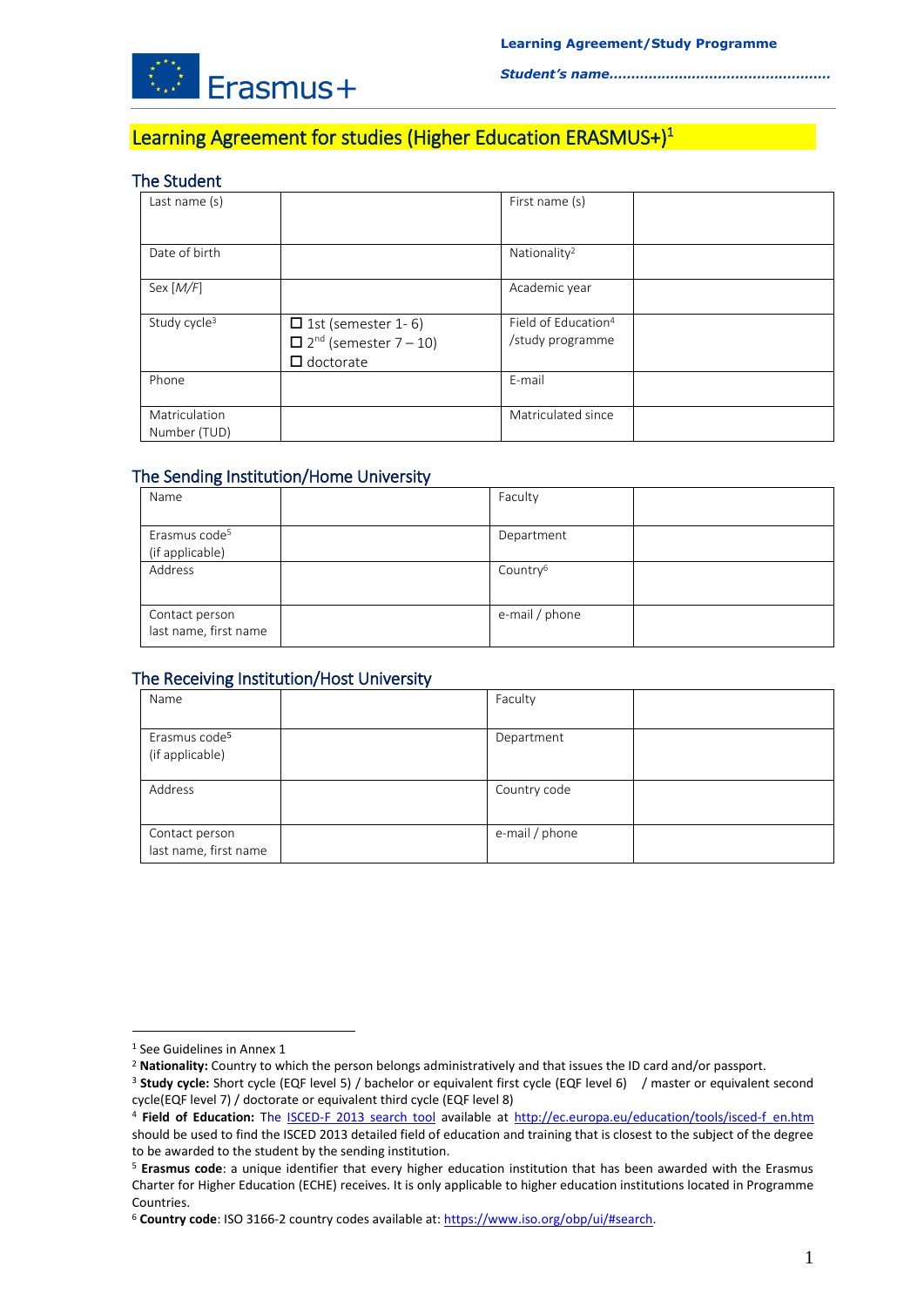

# Learning Agreement for studies (Higher Education ERASMUS+)<sup>1</sup>

## The Student

| Last name (s)                 |                                                                                           | First name (s)                                      |  |
|-------------------------------|-------------------------------------------------------------------------------------------|-----------------------------------------------------|--|
| Date of birth                 |                                                                                           | Nationality <sup>2</sup>                            |  |
| Sex [ <i>M</i> /F]            |                                                                                           | Academic year                                       |  |
| Study cycle <sup>3</sup>      | $\Box$ 1st (semester 1-6)<br>$\Box$ 2 <sup>nd</sup> (semester 7 – 10)<br>$\Box$ doctorate | Field of Education <sup>4</sup><br>/study programme |  |
| Phone                         |                                                                                           | E-mail                                              |  |
| Matriculation<br>Number (TUD) |                                                                                           | Matriculated since                                  |  |

## The Sending Institution/Home University

| Name                                         | Faculty              |  |
|----------------------------------------------|----------------------|--|
| Erasmus code <sup>5</sup><br>(if applicable) | Department           |  |
| Address                                      | Country <sup>6</sup> |  |
| Contact person<br>last name, first name      | e-mail / phone       |  |

## The Receiving Institution/Host University

| Name                                         | Faculty        |  |
|----------------------------------------------|----------------|--|
| Erasmus code <sup>5</sup><br>(if applicable) | Department     |  |
| Address                                      | Country code   |  |
| Contact person<br>last name, first name      | e-mail / phone |  |

<u>.</u>

<sup>1</sup> See Guidelines in Annex 1

<sup>2</sup> **Nationality:** Country to which the person belongs administratively and that issues the ID card and/or passport.

<sup>3</sup> **Study cycle:** Short cycle (EQF level 5) / bachelor or equivalent first cycle (EQF level 6) / master or equivalent second cycle(EQF level 7) / doctorate or equivalent third cycle (EQF level 8)

<sup>&</sup>lt;sup>4</sup> Field of Education: The **[ISCED-F 2013 search tool](http://ec.europa.eu/education/tools/isced-f_en.htm)** available at [http://ec.europa.eu/education/tools/isced-f\\_en.htm](http://ec.europa.eu/education/tools/isced-f_en.htm) should be used to find the ISCED 2013 detailed field of education and training that is closest to the subject of the degree to be awarded to the student by the sending institution.

<sup>5</sup> **Erasmus code**: a unique identifier that every higher education institution that has been awarded with the Erasmus Charter for Higher Education (ECHE) receives. It is only applicable to higher education institutions located in Programme Countries.

<sup>6</sup> **Country code**: ISO 3166-2 country codes available at[: https://www.iso.org/obp/ui/#search.](https://www.iso.org/obp/ui/#search)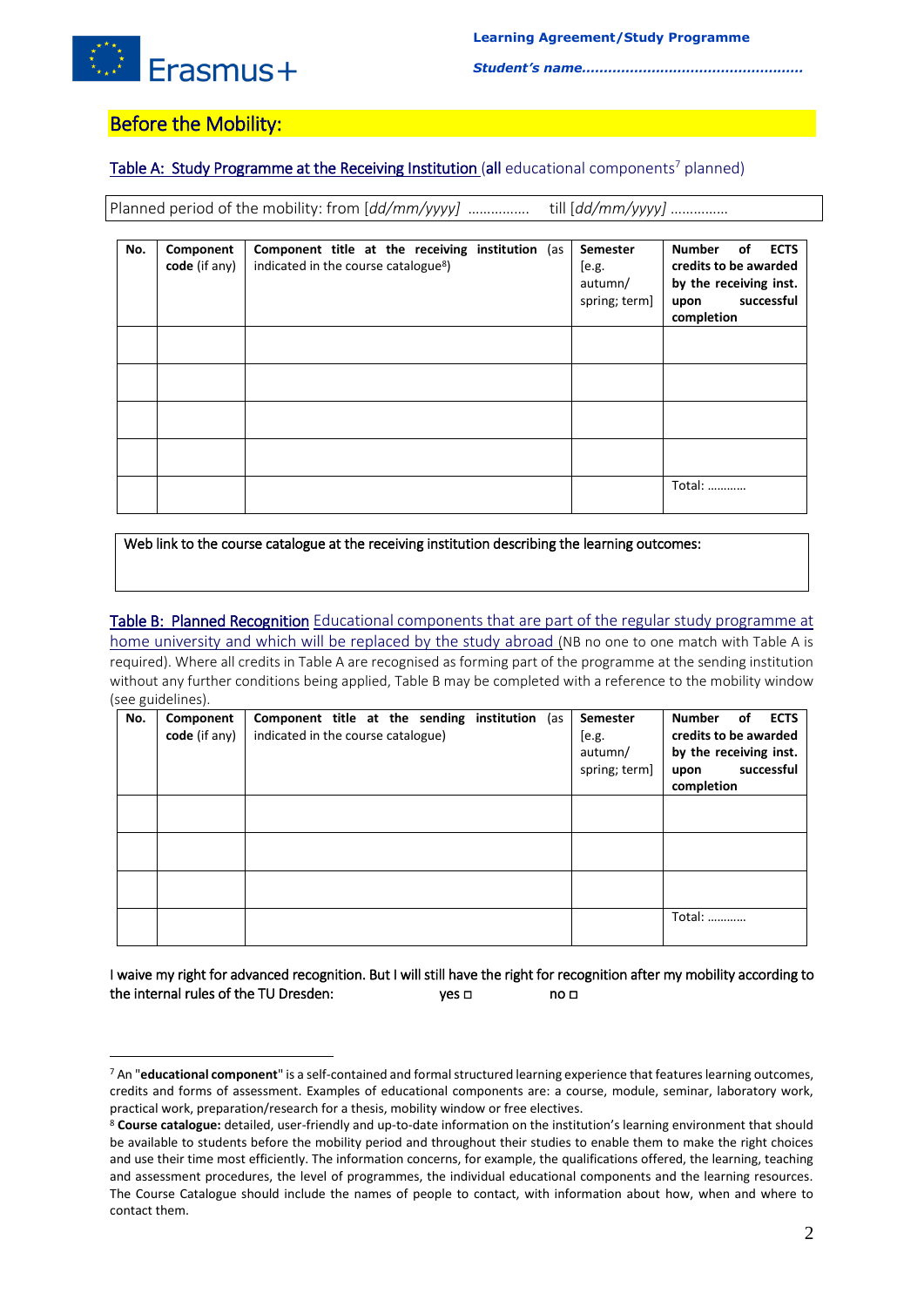

## Before the Mobility:

1

## Table A: Study Programme at the Receiving Institution (all educational components<sup>7</sup> planned)

Planned period of the mobility: from [*dd/mm/yyyy]* ……………. till [*dd/mm/yyyy]* ……………

| No. | Component<br>code (if any) | <b>Component title at the receiving institution</b> (as<br>indicated in the course catalogue <sup>8</sup> ) | Semester<br>[ <sub>e.g.</sub> ]<br>autumn/<br>spring; term] | <b>ECTS</b><br><b>Number</b><br>of<br>credits to be awarded<br>by the receiving inst.<br>successful<br>upon<br>completion |
|-----|----------------------------|-------------------------------------------------------------------------------------------------------------|-------------------------------------------------------------|---------------------------------------------------------------------------------------------------------------------------|
|     |                            |                                                                                                             |                                                             |                                                                                                                           |
|     |                            |                                                                                                             |                                                             |                                                                                                                           |
|     |                            |                                                                                                             |                                                             |                                                                                                                           |
|     |                            |                                                                                                             |                                                             |                                                                                                                           |
|     |                            |                                                                                                             |                                                             | Total:                                                                                                                    |

Web link to the course catalogue at the receiving institution describing the learning outcomes:

## Table B: Planned Recognition Educational components that are part of the regular study programme at

home university and which will be replaced by the study abroad (NB no one to one match with Table A is required). Where all credits in Table A are recognised as forming part of the programme at the sending institution without any further conditions being applied, Table B may be completed with a reference to the mobility window (see guidelines).

| No. | Component<br>code (if any) | <b>Component title at the sending institution</b> (as<br>indicated in the course catalogue) | Semester<br>[e.g.<br>autumn/<br>spring; term] | <b>ECTS</b><br><b>Number</b><br>οf<br>credits to be awarded<br>by the receiving inst.<br>successful<br>upon<br>completion |
|-----|----------------------------|---------------------------------------------------------------------------------------------|-----------------------------------------------|---------------------------------------------------------------------------------------------------------------------------|
|     |                            |                                                                                             |                                               |                                                                                                                           |
|     |                            |                                                                                             |                                               |                                                                                                                           |
|     |                            |                                                                                             |                                               |                                                                                                                           |
|     |                            |                                                                                             |                                               | Total:                                                                                                                    |

I waive my right for advanced recognition. But I will still have the right for recognition after my mobility according to the internal rules of the TU Dresden: yes □ no □

<sup>7</sup> An "**educational component**" is a self-contained and formal structured learning experience that features learning outcomes, credits and forms of assessment. Examples of educational components are: a course, module, seminar, laboratory work, practical work, preparation/research for a thesis, mobility window or free electives.

<sup>8</sup> **Course catalogue:** detailed, user-friendly and up-to-date information on the institution's learning environment that should be available to students before the mobility period and throughout their studies to enable them to make the right choices and use their time most efficiently. The information concerns, for example, the qualifications offered, the learning, teaching and assessment procedures, the level of programmes, the individual educational components and the learning resources. The Course Catalogue should include the names of people to contact, with information about how, when and where to contact them.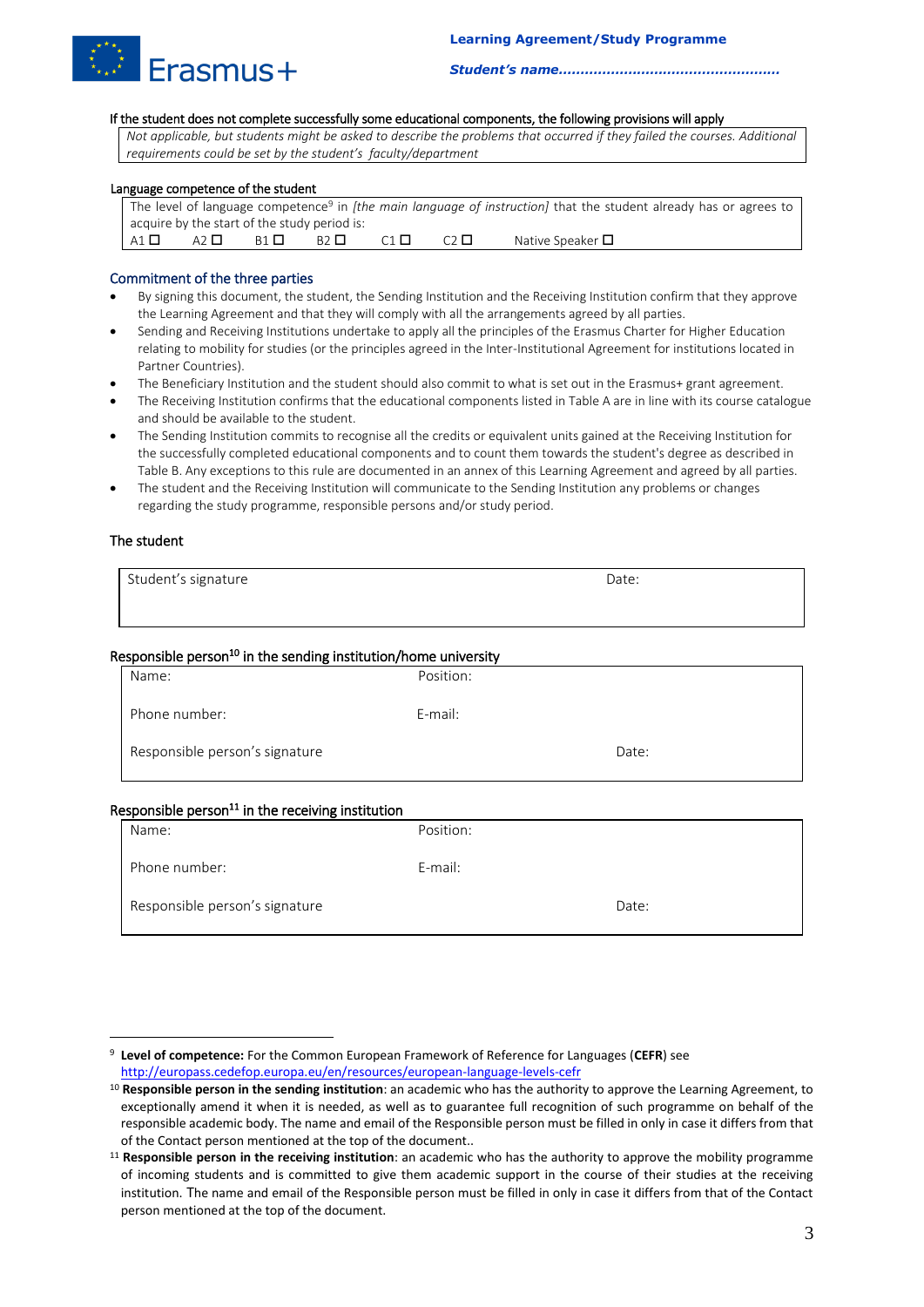

#### If the student does not complete successfully some educational components, the following provisions will apply

*Not applicable, but students might be asked to describe the problems that occurred if they failed the courses. Additional requirements could be set by the student's faculty/department*

#### Language competence of the student

|              |           |                                              |                |             |           | The level of language competence <sup>9</sup> in <i>[the main language of instruction]</i> that the student already has or agrees to |
|--------------|-----------|----------------------------------------------|----------------|-------------|-----------|--------------------------------------------------------------------------------------------------------------------------------------|
|              |           | acquire by the start of the study period is: |                |             |           |                                                                                                                                      |
| A1 $\square$ | A2 $\Box$ | R <sub>1</sub> H                             | $B2$ $\square$ | $C1$ $\Box$ | $\bigcap$ | Native Speaker $\Box$                                                                                                                |

#### Commitment of the three parties

- By signing this document, the student, the Sending Institution and the Receiving Institution confirm that they approve the Learning Agreement and that they will comply with all the arrangements agreed by all parties.
- Sending and Receiving Institutions undertake to apply all the principles of the Erasmus Charter for Higher Education relating to mobility for studies (or the principles agreed in the Inter-Institutional Agreement for institutions located in Partner Countries).
- The Beneficiary Institution and the student should also commit to what is set out in the Erasmus+ grant agreement.
- The Receiving Institution confirms that the educational components listed in Table A are in line with its course catalogue and should be available to the student.
- The Sending Institution commits to recognise all the credits or equivalent units gained at the Receiving Institution for the successfully completed educational components and to count them towards the student's degree as described in Table B. Any exceptions to this rule are documented in an annex of this Learning Agreement and agreed by all parties.
- The student and the Receiving Institution will communicate to the Sending Institution any problems or changes regarding the study programme, responsible persons and/or study period.

#### The student

<u>.</u>

| Student's signature | Date: |  |
|---------------------|-------|--|
|                     |       |  |

#### Responsible person<sup>10</sup> in the sending institution/home university

| Name:                          | Position: |       |
|--------------------------------|-----------|-------|
| Phone number:                  | E-mail:   |       |
| Responsible person's signature |           | Date: |

#### Responsible person $<sup>11</sup>$  in the receiving institution</sup>

| Name:                          | Position: |       |
|--------------------------------|-----------|-------|
| Phone number:                  | E-mail:   |       |
| Responsible person's signature |           | Date: |

<sup>9</sup> **Level of competence:** For the Common European Framework of Reference for Languages (**CEFR**) see <http://europass.cedefop.europa.eu/en/resources/european-language-levels-cefr>

<sup>10</sup> **Responsible person in the sending institution**: an academic who has the authority to approve the Learning Agreement, to exceptionally amend it when it is needed, as well as to guarantee full recognition of such programme on behalf of the responsible academic body. The name and email of the Responsible person must be filled in only in case it differs from that of the Contact person mentioned at the top of the document..

<sup>11</sup> **Responsible person in the receiving institution**: an academic who has the authority to approve the mobility programme of incoming students and is committed to give them academic support in the course of their studies at the receiving institution. The name and email of the Responsible person must be filled in only in case it differs from that of the Contact person mentioned at the top of the document.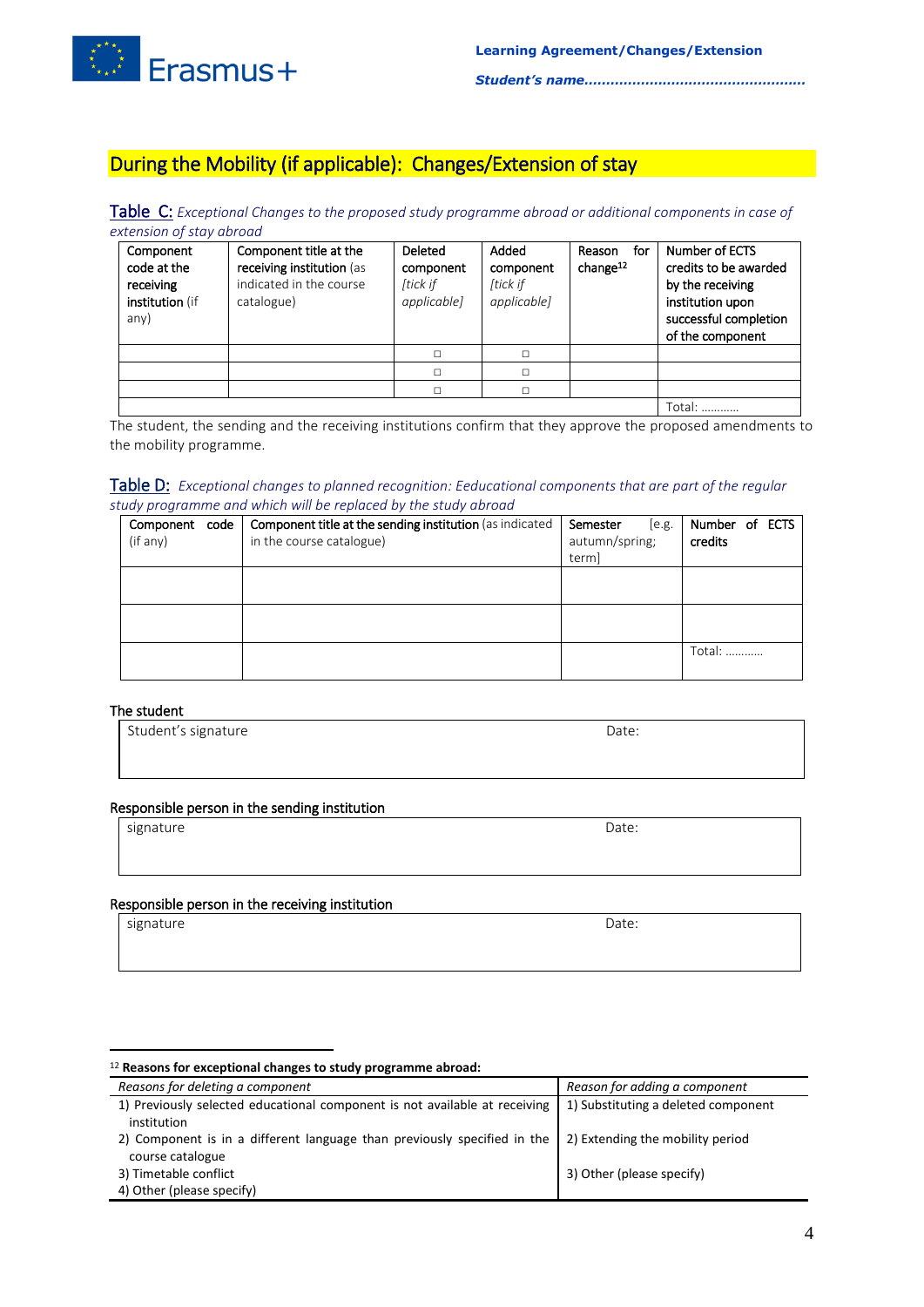

# During the Mobility (if applicable): Changes/Extension of stay

Table C: *Exceptional Changes to the proposed study programme abroad or additional components in case of extension of stay abroad*

| Component<br>code at the<br>receiving<br>institution (if<br>any) | Component title at the<br>receiving institution (as<br>indicated in the course<br>catalogue) | Deleted<br>component<br>[tick if<br><i>applicable]</i> | Added<br>component<br>[tick if<br><i>applicable]</i> | for<br>Reason<br>change $12$ | Number of ECTS<br>credits to be awarded<br>by the receiving<br>institution upon<br>successful completion<br>of the component |
|------------------------------------------------------------------|----------------------------------------------------------------------------------------------|--------------------------------------------------------|------------------------------------------------------|------------------------------|------------------------------------------------------------------------------------------------------------------------------|
|                                                                  |                                                                                              |                                                        | $\Box$                                               |                              |                                                                                                                              |
|                                                                  |                                                                                              |                                                        | П                                                    |                              |                                                                                                                              |
|                                                                  |                                                                                              |                                                        | $\Box$                                               |                              |                                                                                                                              |
|                                                                  |                                                                                              |                                                        |                                                      |                              | Total:                                                                                                                       |

The student, the sending and the receiving institutions confirm that they approve the proposed amendments to the mobility programme.

#### Table D: *Exceptional changes to planned recognition: Eeducational components that are part of the regular study programme and which will be replaced by the study abroad*

| Component code  <br>(if any) | Component title at the sending institution (as indicated<br>in the course catalogue) | Semester<br>[e.g.<br>autumn/spring;<br>term] | Number of ECTS<br>credits |
|------------------------------|--------------------------------------------------------------------------------------|----------------------------------------------|---------------------------|
|                              |                                                                                      |                                              |                           |
|                              |                                                                                      |                                              |                           |
|                              |                                                                                      |                                              | Total:                    |

#### The student

| Student's signature | Date: |
|---------------------|-------|
|                     |       |
|                     |       |

## Responsible person in the sending institution

| sion<br>signature | Date:<br>$ -$ |
|-------------------|---------------|
|                   |               |

#### Responsible person in the receiving institution

signature Date:

<u>.</u>

#### <sup>12</sup> **Reasons for exceptional changes to study programme abroad:**

| Reasons for deleting a component                                                                                  | Reason for adding a component       |
|-------------------------------------------------------------------------------------------------------------------|-------------------------------------|
| 1) Previously selected educational component is not available at receiving                                        | 1) Substituting a deleted component |
| institution                                                                                                       |                                     |
| 2) Component is in a different language than previously specified in the $\vert$ 2) Extending the mobility period |                                     |
| course catalogue                                                                                                  |                                     |
| 3) Timetable conflict                                                                                             | 3) Other (please specify)           |
| 4) Other (please specify)                                                                                         |                                     |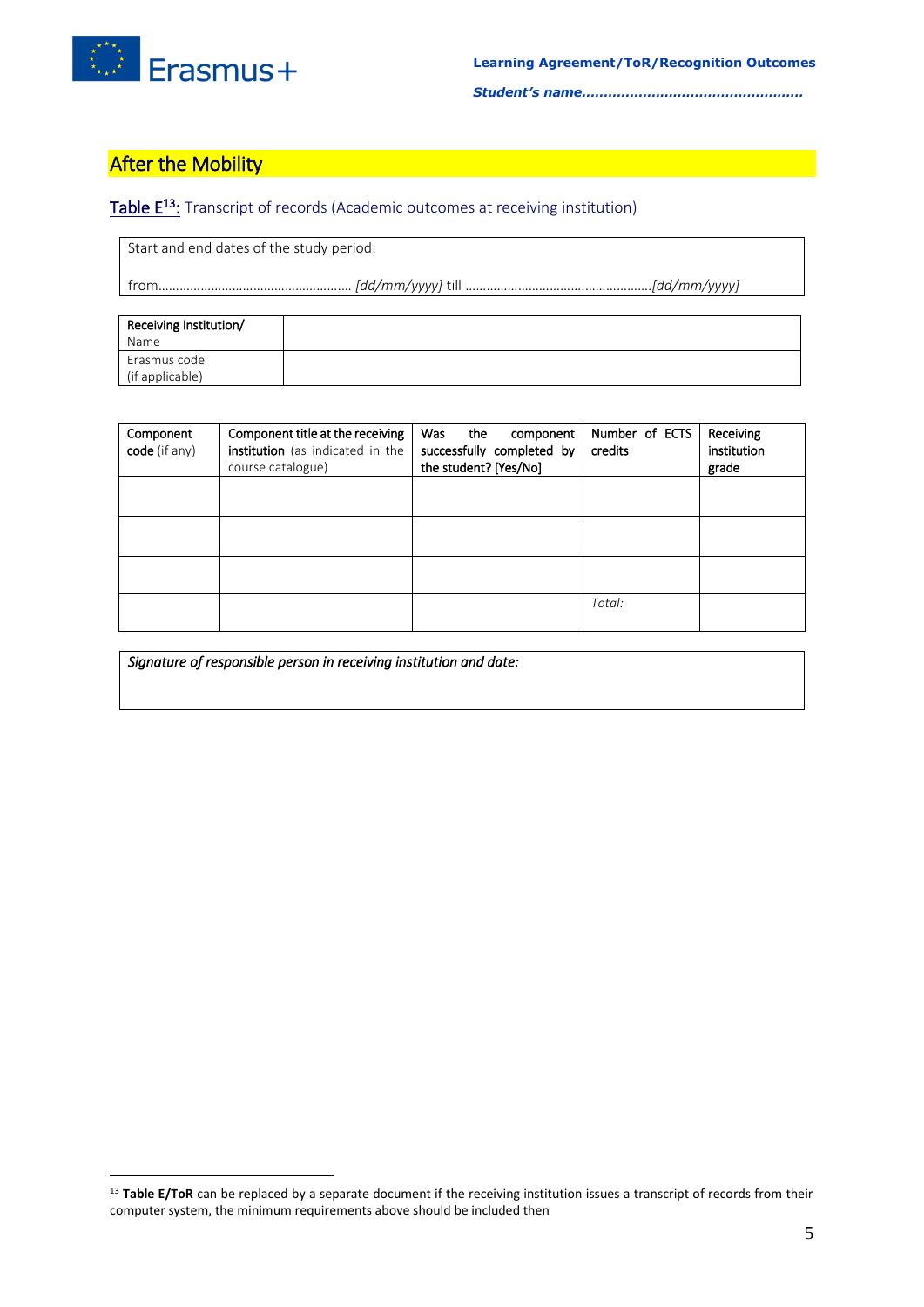

## **After the Mobility**

1

## Table E<sup>13</sup>: Transcript of records (Academic outcomes at receiving institution)

Start and end dates of the study period:

from…………………………………………….… *[dd/mm/yyyy]* till …………………………….……………….*[dd/mm/yyyy]*

| Receiving Institution/ |  |
|------------------------|--|
| Name                   |  |
| Erasmus code           |  |
| (if applicable)        |  |

| Component<br>code (if any) | Component title at the receiving<br>institution (as indicated in the<br>course catalogue) | Was<br>the<br>component<br>successfully completed by<br>the student? [Yes/No] | Number of ECTS<br>credits | Receiving<br>institution<br>grade |
|----------------------------|-------------------------------------------------------------------------------------------|-------------------------------------------------------------------------------|---------------------------|-----------------------------------|
|                            |                                                                                           |                                                                               |                           |                                   |
|                            |                                                                                           |                                                                               |                           |                                   |
|                            |                                                                                           |                                                                               |                           |                                   |
|                            |                                                                                           |                                                                               | Total:                    |                                   |

*Signature of responsible person in receiving institution and date:* 

<sup>&</sup>lt;sup>13</sup> Table E/ToR can be replaced by a separate document if the receiving institution issues a transcript of records from their computer system, the minimum requirements above should be included then